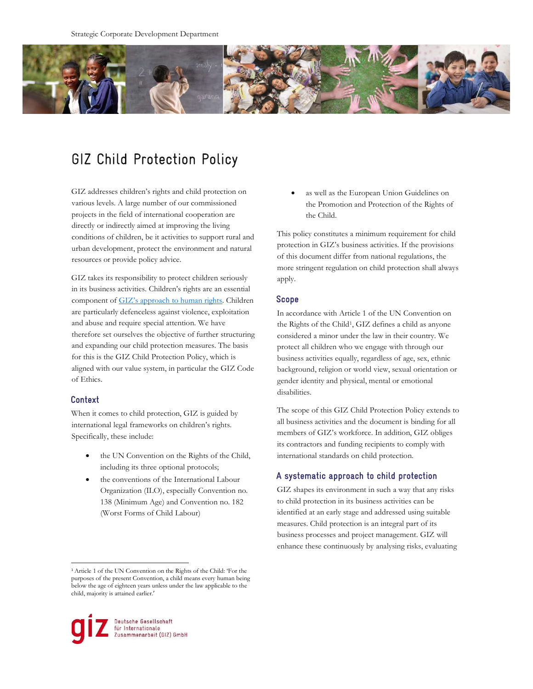

# GIZ Child Protection Policy

GIZ addresses children's rights and child protection on various levels. A large number of our commissioned projects in the field of international cooperation are directly or indirectly aimed at improving the living conditions of children, be it activities to support rural and urban development, protect the environment and natural resources or provide policy advice.

GIZ takes its responsibility to protect children seriously in its business activities. Children's rights are an essential component of GIZ's approach to human rights. Children are particularly defenceless against violence, exploitation and abuse and require special attention. We have therefore set ourselves the objective of further structuring and expanding our child protection measures. The basis for this is the GIZ Child Protection Policy, which is aligned with our value system, in particular the GIZ Code of Ethics.

## Context

When it comes to child protection, GIZ is guided by international legal frameworks on children's rights. Specifically, these include:

- the UN Convention on the Rights of the Child, including its three optional protocols;
- the conventions of the International Labour Organization (ILO), especially Convention no. 138 (Minimum Age) and Convention no. 182 (Worst Forms of Child Labour)

 as well as the European Union Guidelines on the Promotion and Protection of the Rights of the Child.

This policy constitutes a minimum requirement for child protection in GIZ's business activities. If the provisions of this document differ from national regulations, the more stringent regulation on child protection shall always apply.

# **Scope**

In accordance with Article 1 of the UN Convention on the Rights of the Child<sup>1</sup>, GIZ defines a child as anyone considered a minor under the law in their country. We protect all children who we engage with through our business activities equally, regardless of age, sex, ethnic background, religion or world view, sexual orientation or gender identity and physical, mental or emotional disabilities.

The scope of this GIZ Child Protection Policy extends to all business activities and the document is binding for all members of GIZ's workforce. In addition, GIZ obliges its contractors and funding recipients to comply with international standards on child protection.

## A systematic approach to child protection

GIZ shapes its environment in such a way that any risks to child protection in its business activities can be identified at an early stage and addressed using suitable measures. Child protection is an integral part of its business processes and project management. GIZ will enhance these continuously by analysing risks, evaluating

<sup>1</sup> Article 1 of the UN Convention on the Rights of the Child: 'For the purposes of the present Convention, a child means every human being below the age of eighteen years unless under the law applicable to the child, majority is attained earlier.'